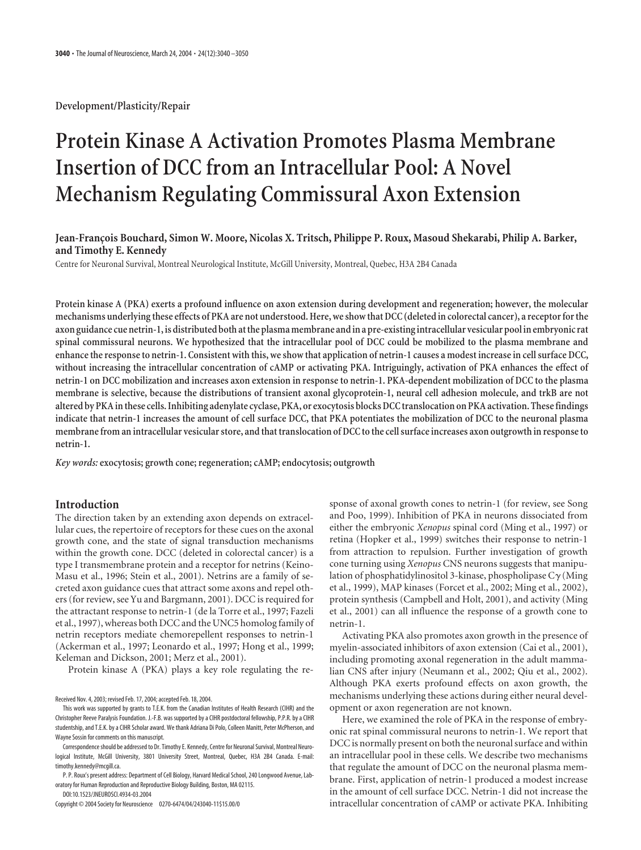**Development/Plasticity/Repair**

# **Protein Kinase A Activation Promotes Plasma Membrane Insertion of DCC from an Intracellular Pool: A Novel Mechanism Regulating Commissural Axon Extension**

# **Jean-Franc¸ois Bouchard, Simon W. Moore, Nicolas X. Tritsch, Philippe P. Roux, Masoud Shekarabi, Philip A. Barker, and Timothy E. Kennedy**

Centre for Neuronal Survival, Montreal Neurological Institute, McGill University, Montreal, Quebec, H3A 2B4 Canada

**Protein kinase A (PKA) exerts a profound influence on axon extension during development and regeneration; however, the molecular mechanisms underlying these effects of PKA are not understood. Here, we show that DCC (deleted in colorectal cancer), a receptor for the axon guidance cue netrin-1, is distributed both at the plasma membrane and in a pre-existing intracellular vesicular pool in embryonic rat spinal commissural neurons. We hypothesized that the intracellular pool of DCC could be mobilized to the plasma membrane and enhance the response to netrin-1. Consistent with this, we show that application of netrin-1 causes a modest increase in cell surface DCC, without increasing the intracellular concentration of cAMP or activating PKA. Intriguingly, activation of PKA enhances the effect of netrin-1 on DCC mobilization and increases axon extension in response to netrin-1. PKA-dependent mobilization of DCC to the plasma membrane is selective, because the distributions of transient axonal glycoprotein-1, neural cell adhesion molecule, and trkB are not altered by PKA in these cells. Inhibiting adenylate cyclase, PKA, or exocytosis blocks DCC translocation on PKA activation. These findings indicate that netrin-1 increases the amount of cell surface DCC, that PKA potentiates the mobilization of DCC to the neuronal plasma membrane from an intracellular vesicular store, and that translocation of DCC to the cell surface increases axon outgrowth in response to netrin-1.**

*Key words:* **exocytosis; growth cone; regeneration; cAMP; endocytosis; outgrowth**

# **Introduction**

The direction taken by an extending axon depends on extracellular cues, the repertoire of receptors for these cues on the axonal growth cone, and the state of signal transduction mechanisms within the growth cone. DCC (deleted in colorectal cancer) is a type I transmembrane protein and a receptor for netrins (Keino-Masu et al., 1996; Stein et al., 2001). Netrins are a family of secreted axon guidance cues that attract some axons and repel others (for review, see Yu and Bargmann, 2001). DCC is required for the attractant response to netrin-1 (de la Torre et al., 1997; Fazeli et al., 1997), whereas both DCC and the UNC5 homolog family of netrin receptors mediate chemorepellent responses to netrin-1 (Ackerman et al., 1997; Leonardo et al., 1997; Hong et al., 1999; Keleman and Dickson, 2001; Merz et al., 2001).

Protein kinase A (PKA) plays a key role regulating the re-

Received Nov. 4, 2003; revised Feb. 17, 2004; accepted Feb. 18, 2004.

P. P. Roux's present address: Department of Cell Biology, Harvard Medical School, 240 Longwood Avenue, Laboratory for Human Reproduction and Reproductive Biology Building, Boston, MA 02115. DOI:10.1523/JNEUROSCI.4934-03.2004

Copyright © 2004 Society for Neuroscience 0270-6474/04/243040-11\$15.00/0

sponse of axonal growth cones to netrin-1 (for review, see Song and Poo, 1999). Inhibition of PKA in neurons dissociated from either the embryonic *Xenopus* spinal cord (Ming et al., 1997) or retina (Hopker et al., 1999) switches their response to netrin-1 from attraction to repulsion. Further investigation of growth cone turning using *Xenopus* CNS neurons suggests that manipulation of phosphatidylinositol 3-kinase, phospholipase  $C\gamma$  (Ming et al., 1999), MAP kinases (Forcet et al., 2002; Ming et al., 2002), protein synthesis (Campbell and Holt, 2001), and activity (Ming et al., 2001) can all influence the response of a growth cone to netrin-1.

Activating PKA also promotes axon growth in the presence of myelin-associated inhibitors of axon extension (Cai et al., 2001), including promoting axonal regeneration in the adult mammalian CNS after injury (Neumann et al., 2002; Qiu et al., 2002). Although PKA exerts profound effects on axon growth, the mechanisms underlying these actions during either neural development or axon regeneration are not known.

Here, we examined the role of PKA in the response of embryonic rat spinal commissural neurons to netrin-1. We report that DCC is normally present on both the neuronal surface and within an intracellular pool in these cells. We describe two mechanisms that regulate the amount of DCC on the neuronal plasma membrane. First, application of netrin-1 produced a modest increase in the amount of cell surface DCC. Netrin-1 did not increase the intracellular concentration of cAMP or activate PKA. Inhibiting

This work was supported by grants to T.E.K. from the Canadian Institutes of Health Research (CIHR) and the Christopher Reeve Paralysis Foundation. J.-F.B. was supported by a CIHR postdoctoral fellowship, P.P.R. by a CIHR studentship, and T.E.K. by a CIHR Scholar award. We thank Adriana Di Polo, Colleen Manitt, Peter McPherson, and Wayne Sossin for comments on this manuscript.

Correspondence should be addressed to Dr. Timothy E. Kennedy, Centre for Neuronal Survival, Montreal Neurological Institute, McGill University, 3801 University Street, Montreal, Quebec, H3A 2B4 Canada. E-mail: timothy.kennedy@mcgill.ca.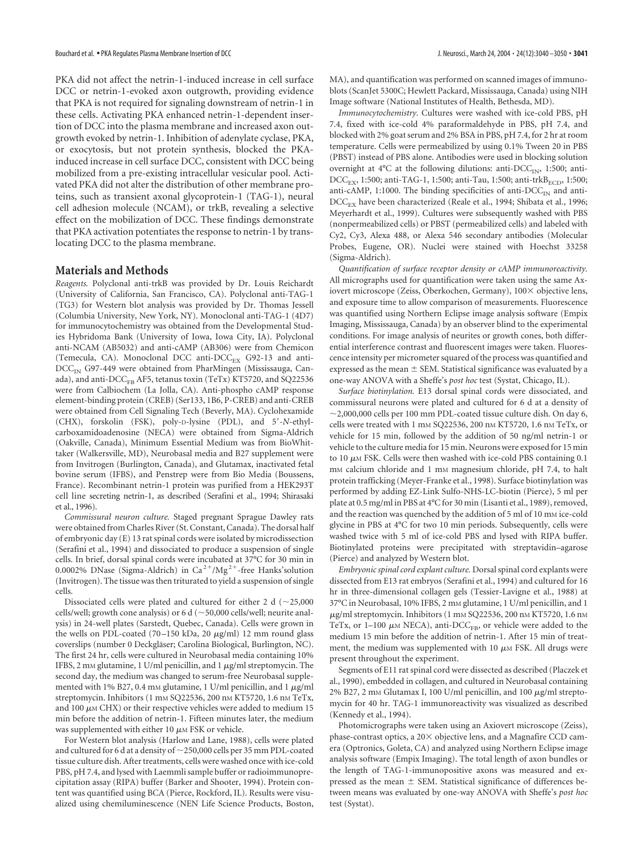PKA did not affect the netrin-1-induced increase in cell surface DCC or netrin-1-evoked axon outgrowth, providing evidence that PKA is not required for signaling downstream of netrin-1 in these cells. Activating PKA enhanced netrin-1-dependent insertion of DCC into the plasma membrane and increased axon outgrowth evoked by netrin-1. Inhibition of adenylate cyclase, PKA, or exocytosis, but not protein synthesis, blocked the PKAinduced increase in cell surface DCC, consistent with DCC being mobilized from a pre-existing intracellular vesicular pool. Activated PKA did not alter the distribution of other membrane proteins, such as transient axonal glycoprotein-1 (TAG-1), neural cell adhesion molecule (NCAM), or trkB, revealing a selective effect on the mobilization of DCC. These findings demonstrate that PKA activation potentiates the response to netrin-1 by translocating DCC to the plasma membrane.

## **Materials and Methods**

*Reagents.* Polyclonal anti-trkB was provided by Dr. Louis Reichardt (University of California, San Francisco, CA). Polyclonal anti-TAG-1 (TG3) for Western blot analysis was provided by Dr. Thomas Jessell (Columbia University, New York, NY). Monoclonal anti-TAG-1 (4D7) for immunocytochemistry was obtained from the Developmental Studies Hybridoma Bank (University of Iowa, Iowa City, IA). Polyclonal anti-NCAM (AB5032) and anti-cAMP (AB306) were from Chemicon (Temecula, CA). Monoclonal DCC anti-DCC<sub>EX</sub> G92-13 and anti- $DCC<sub>IN</sub>$  G97-449 were obtained from PharMingen (Mississauga, Canada), and anti- $\textrm{DCC}_{FB}$  AF5, tetanus toxin (TeTx) KT5720, and SQ22536 were from Calbiochem (La Jolla, CA). Anti-phospho cAMP response element-binding protein (CREB) (Ser133, 1B6, P-CREB) and anti-CREB were obtained from Cell Signaling Tech (Beverly, MA). Cyclohexamide (CHX), forskolin (FSK), poly-D-lysine (PDL), and 5-*N*-ethylcarboxamidoadenosine (NECA) were obtained from Sigma-Aldrich (Oakville, Canada), Minimum Essential Medium was from BioWhittaker (Walkersville, MD), Neurobasal media and B27 supplement were from Invitrogen (Burlington, Canada), and Glutamax, inactivated fetal bovine serum (IFBS), and Penstrep were from Bio Media (Boussens, France). Recombinant netrin-1 protein was purified from a HEK293T cell line secreting netrin-1, as described (Serafini et al., 1994; Shirasaki et al., 1996).

*Commissural neuron culture.* Staged pregnant Sprague Dawley rats were obtained from Charles River (St. Constant, Canada). The dorsal half of embryonic day (E) 13 rat spinal cords were isolated by microdissection (Serafini et al., 1994) and dissociated to produce a suspension of single cells. In brief, dorsal spinal cords were incubated at 37°C for 30 min in 0.0002% DNase (Sigma-Aldrich) in  $Ca^{2+}/Mg^{2+}$ -free Hanks'solution (Invitrogen). The tissue was then triturated to yield a suspension of single cells.

Dissociated cells were plated and cultured for either 2 d  $(\sim 25,000$ cells/well; growth cone analysis) or 6 d ( $\sim$  50,000 cells/well; neurite analysis) in 24-well plates (Sarstedt, Quebec, Canada). Cells were grown in the wells on PDL-coated (70–150 kDa, 20  $\mu$ g/ml) 12 mm round glass coverslips (number 0 Deckgläser; Carolina Biological, Burlington, NC). The first 24 hr, cells were cultured in Neurobasal media containing 10% IFBS, 2 mm glutamine, 1 U/ml penicillin, and 1  $\mu$ g/ml streptomycin. The second day, the medium was changed to serum-free Neurobasal supplemented with 1% B27, 0.4 mm glutamine, 1 U/ml penicillin, and 1  $\mu$ g/ml streptomycin. Inhibitors (1 mm SQ22536, 200 nm KT5720, 1.6 nm TeTx, and 100  $\mu$ m CHX) or their respective vehicles were added to medium 15 min before the addition of netrin-1. Fifteen minutes later, the medium was supplemented with either 10  $\mu$ m FSK or vehicle.

For Western blot analysis (Harlow and Lane, 1988), cells were plated and cultured for 6 d at a density of  $\sim$  250,000 cells per 35 mm PDL-coated tissue culture dish. After treatments, cells were washed once with ice-cold PBS, pH 7.4, and lysed with Laemmli sample buffer or radioimmunoprecipitation assay (RIPA) buffer (Barker and Shooter, 1994). Protein content was quantified using BCA (Pierce, Rockford, IL). Results were visualized using chemiluminescence (NEN Life Science Products, Boston, MA), and quantification was performed on scanned images of immunoblots (ScanJet 5300C; Hewlett Packard, Mississauga, Canada) using NIH Image software (National Institutes of Health, Bethesda, MD).

*Immunocytochemistry.* Cultures were washed with ice-cold PBS, pH 7.4, fixed with ice-cold 4% paraformaldehyde in PBS, pH 7.4, and blocked with 2% goat serum and 2% BSA in PBS, pH 7.4, for 2 hr at room temperature. Cells were permeabilized by using 0.1% Tween 20 in PBS (PBST) instead of PBS alone. Antibodies were used in blocking solution overnight at  $4^{\circ}$ C at the following dilutions: anti-DCC<sub>IN</sub>, 1:500; anti- $DCC_{EX}$ , 1:500; anti-TAG-1, 1:500; anti-Tau, 1:500; anti-trkB<sub>ECD</sub>, 1:500; anti-cAMP, 1:1000. The binding specificities of anti- $\text{DCC}_{\text{IN}}$  and anti-DCC<sub>EX</sub> have been characterized (Reale et al., 1994; Shibata et al., 1996; Meyerhardt et al., 1999). Cultures were subsequently washed with PBS (nonpermeabilized cells) or PBST (permeabilized cells) and labeled with Cy2, Cy3, Alexa 488, or Alexa 546 secondary antibodies (Molecular Probes, Eugene, OR). Nuclei were stained with Hoechst 33258 (Sigma-Aldrich).

*Quantification of surface receptor density or cAMP immunoreactivity.* All micrographs used for quantification were taken using the same Axiovert microscope (Zeiss, Oberkochen, Germany),  $100 \times$  objective lens, and exposure time to allow comparison of measurements. Fluorescence was quantified using Northern Eclipse image analysis software (Empix Imaging, Mississauga, Canada) by an observer blind to the experimental conditions. For image analysis of neurites or growth cones, both differential interference contrast and fluorescent images were taken. Fluorescence intensity per micrometer squared of the process was quantified and expressed as the mean  $\pm$  SEM. Statistical significance was evaluated by a one-way ANOVA with a Sheffe's *post hoc* test (Systat, Chicago, IL).

*Surface biotinylation.* E13 dorsal spinal cords were dissociated, and commissural neurons were plated and cultured for 6 d at a density of  $\sim$  2,000,000 cells per 100 mm PDL-coated tissue culture dish. On day 6, cells were treated with 1 mm SQ22536, 200 nm KT5720, 1.6 nm TeTx, or vehicle for 15 min, followed by the addition of 50 ng/ml netrin-1 or vehicle to the culture media for 15 min. Neurons were exposed for 15 min to 10  $\mu$ M FSK. Cells were then washed with ice-cold PBS containing 0.1 m<sub>M</sub> calcium chloride and 1 m<sub>M</sub> magnesium chloride, pH 7.4, to halt protein trafficking (Meyer-Franke et al., 1998). Surface biotinylation was performed by adding EZ-Link Sulfo-NHS-LC-biotin (Pierce), 5 ml per plate at 0.5 mg/ml in PBS at 4°C for 30 min (Lisanti et al., 1989), removed, and the reaction was quenched by the addition of 5 ml of 10 mM ice-cold glycine in PBS at 4°C for two 10 min periods. Subsequently, cells were washed twice with 5 ml of ice-cold PBS and lysed with RIPA buffer. Biotinylated proteins were precipitated with streptavidin–agarose (Pierce) and analyzed by Western blot.

*Embryonic spinal cord explant culture.* Dorsal spinal cord explants were dissected from E13 rat embryos (Serafini et al., 1994) and cultured for 16 hr in three-dimensional collagen gels (Tessier-Lavigne et al., 1988) at 37°C in Neurobasal, 10% IFBS, 2 mM glutamine, 1 U/ml penicillin, and 1  $\mu$ g/ml streptomycin. Inhibitors (1 mм SQ22536, 200 nм KT5720, 1.6 nм TeTx, or 1–100  $\mu$ m NECA), anti-DCC<sub>FB</sub>, or vehicle were added to the medium 15 min before the addition of netrin-1. After 15 min of treatment, the medium was supplemented with 10  $\mu$ m FSK. All drugs were present throughout the experiment.

Segments of E11 rat spinal cord were dissected as described (Placzek et al., 1990), embedded in collagen, and cultured in Neurobasal containing 2% B27, 2 mm Glutamax I, 100 U/ml penicillin, and 100  $\mu$ g/ml streptomycin for 40 hr. TAG-1 immunoreactivity was visualized as described (Kennedy et al., 1994).

Photomicrographs were taken using an Axiovert microscope (Zeiss), phase-contrast optics, a  $20\times$  objective lens, and a Magnafire CCD camera (Optronics, Goleta, CA) and analyzed using Northern Eclipse image analysis software (Empix Imaging). The total length of axon bundles or the length of TAG-1-immunopositive axons was measured and expressed as the mean  $\pm$  SEM. Statistical significance of differences between means was evaluated by one-way ANOVA with Sheffe's *post hoc* test (Systat).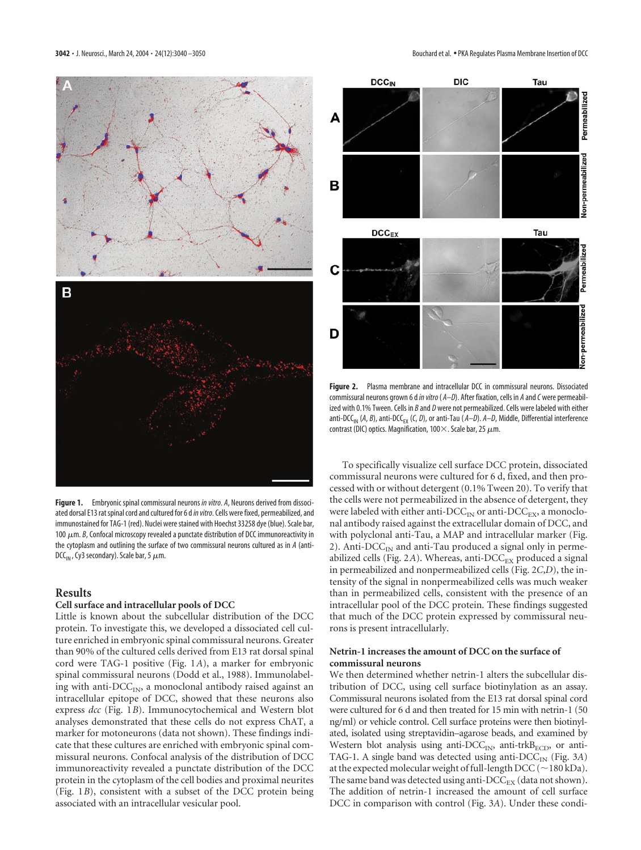

**Figure 1.** Embryonic spinal commissural neurons *in vitro*. *A*, Neurons derived from dissociated dorsal E13 rat spinal cord and cultured for 6 d*in vitro*. Cells were fixed, permeabilized, and immunostained for TAG-1 (red). Nuclei were stained with Hoechst 33258 dye (blue). Scale bar, 100  $\mu$ m. *B*, Confocal microscopy revealed a punctate distribution of DCC immunoreactivity in the cytoplasm and outlining the surface of two commissural neurons cultured as in *A* (anti-DCC<sub>IN</sub> , Cy3 secondary). Scale bar, 5  $\mu$ m.

## **Results**

#### **Cell surface and intracellular pools of DCC**

Little is known about the subcellular distribution of the DCC protein. To investigate this, we developed a dissociated cell culture enriched in embryonic spinal commissural neurons. Greater than 90% of the cultured cells derived from E13 rat dorsal spinal cord were TAG-1 positive (Fig. 1*A*), a marker for embryonic spinal commissural neurons (Dodd et al., 1988). Immunolabeling with anti- $\text{DCC}_{\text{IN}}$ , a monoclonal antibody raised against an intracellular epitope of DCC, showed that these neurons also express *dcc* (Fig. 1*B*). Immunocytochemical and Western blot analyses demonstrated that these cells do not express ChAT, a marker for motoneurons (data not shown). These findings indicate that these cultures are enriched with embryonic spinal commissural neurons. Confocal analysis of the distribution of DCC immunoreactivity revealed a punctate distribution of the DCC protein in the cytoplasm of the cell bodies and proximal neurites (Fig. 1*B*), consistent with a subset of the DCC protein being associated with an intracellular vesicular pool.



**Figure 2.** Plasma membrane and intracellular DCC in commissural neurons. Dissociated commissural neurons grown 6 d*in vitro*( *A–D*). After fixation, cells in *A* and*C* were permeabilized with 0.1% Tween. Cells in *B* and *D* were not permeabilized. Cells were labeled with either anti-DCC<sub>IN</sub> (*A*, *B*), anti-DCC<sub>EX</sub> (*C*, *D*), or anti-Tau (*A–D*). *A–D*, Middle, Differential interference contrast (DIC) optics. Magnification, 100 $\times$ . Scale bar, 25  $\mu$ m.

To specifically visualize cell surface DCC protein, dissociated commissural neurons were cultured for 6 d, fixed, and then processed with or without detergent (0.1% Tween 20). To verify that the cells were not permeabilized in the absence of detergent, they were labeled with either anti- $\text{DCC}_{\text{IN}}$  or anti- $\text{DCC}_{\text{EX}}$ , a monoclonal antibody raised against the extracellular domain of DCC, and with polyclonal anti-Tau, a MAP and intracellular marker (Fig. 2). Anti- $DCC_{IN}$  and anti-Tau produced a signal only in permeabilized cells (Fig. 2A). Whereas, anti-DCC<sub>EX</sub> produced a signal in permeabilized and nonpermeabilized cells (Fig. 2*C*,*D*), the intensity of the signal in nonpermeabilized cells was much weaker than in permeabilized cells, consistent with the presence of an intracellular pool of the DCC protein. These findings suggested that much of the DCC protein expressed by commissural neurons is present intracellularly.

#### **Netrin-1 increases the amount of DCC on the surface of commissural neurons**

We then determined whether netrin-1 alters the subcellular distribution of DCC, using cell surface biotinylation as an assay. Commissural neurons isolated from the E13 rat dorsal spinal cord were cultured for 6 d and then treated for 15 min with netrin-1 (50 ng/ml) or vehicle control. Cell surface proteins were then biotinylated, isolated using streptavidin–agarose beads, and examined by Western blot analysis using anti- $\text{DCC}_{\text{IN}}$ , anti-trkB<sub>ECD</sub>, or anti-TAG-1. A single band was detected using anti- $\text{DCC}_{\text{IN}}$  (Fig. 3A) at the expected molecular weight of full-length  $DCC$  ( $\sim$  180 kDa). The same band was detected using anti- $\mathrm{DCC}_{\mathrm{EX}}$  (data not shown). The addition of netrin-1 increased the amount of cell surface DCC in comparison with control (Fig. 3*A*). Under these condi-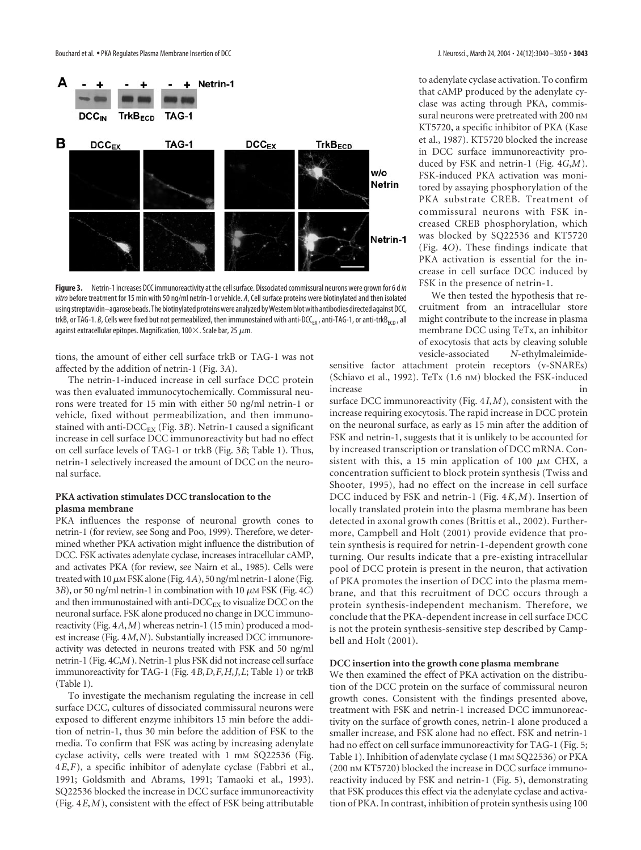

**Figure 3.** Netrin-1 increases DCC immunoreactivity at the cell surface. Dissociated commissural neurons were grown for 6 d*in vitro*before treatment for 15 min with 50 ng/ml netrin-1 or vehicle. *A*, Cell surface proteins were biotinylated and then isolated using streptavidin–agarose beads. The biotinylated proteins were analyzed by Western blot with antibodies directed against DCC, trkB, or TAG-1. *B*, Cells were fixed but not permeabilized, then immunostained with anti-DCC<sub>EX</sub>, anti-TAG-1, or anti-trkB<sub>ECD</sub>, all against extracellular epitopes. Magnification, 100 $\times$ . Scale bar, 25  $\mu$ m.

tions, the amount of either cell surface trkB or TAG-1 was not affected by the addition of netrin-1 (Fig. 3*A*).

The netrin-1-induced increase in cell surface DCC protein was then evaluated immunocytochemically. Commissural neurons were treated for 15 min with either 50 ng/ml netrin-1 or vehicle, fixed without permeabilization, and then immunostained with anti- $\text{DCC}_{\text{EX}}$  (Fig. 3*B*). Netrin-1 caused a significant increase in cell surface DCC immunoreactivity but had no effect on cell surface levels of TAG-1 or trkB (Fig. 3*B*; Table 1). Thus, netrin-1 selectively increased the amount of DCC on the neuronal surface.

## **PKA activation stimulates DCC translocation to the plasma membrane**

PKA influences the response of neuronal growth cones to netrin-1 (for review, see Song and Poo, 1999). Therefore, we determined whether PKA activation might influence the distribution of DCC. FSK activates adenylate cyclase, increases intracellular cAMP, and activates PKA (for review, see Nairn et al., 1985). Cells were treated with 10  $\mu$ m FSK alone (Fig. 4*A*), 50 ng/ml netrin-1 alone (Fig. 3B), or 50 ng/ml netrin-1 in combination with 10  $\mu$ M FSK (Fig. 4*C*) and then immunostained with anti- $\textrm{DCC}_{\textrm{EX}}$  to visualize DCC on the neuronal surface. FSK alone produced no change in DCC immunoreactivity (Fig. 4*A*,*M*) whereas netrin-1 (15 min) produced a modest increase (Fig. 4*M*,*N*). Substantially increased DCC immunoreactivity was detected in neurons treated with FSK and 50 ng/ml netrin-1 (Fig. 4*C*,*M*). Netrin-1 plus FSK did not increase cell surface immunoreactivity for TAG-1 (Fig. 4*B*,*D*,*F*,*H*,*J*,*L*; Table 1) or trkB (Table 1).

To investigate the mechanism regulating the increase in cell surface DCC, cultures of dissociated commissural neurons were exposed to different enzyme inhibitors 15 min before the addition of netrin-1, thus 30 min before the addition of FSK to the media. To confirm that FSK was acting by increasing adenylate cyclase activity, cells were treated with 1 mm SQ22536 (Fig. 4*E*,*F*), a specific inhibitor of adenylate cyclase (Fabbri et al., 1991; Goldsmith and Abrams, 1991; Tamaoki et al., 1993). SQ22536 blocked the increase in DCC surface immunoreactivity (Fig. 4*E*,*M*), consistent with the effect of FSK being attributable to adenylate cyclase activation. To confirm that cAMP produced by the adenylate cyclase was acting through PKA, commissural neurons were pretreated with 200 nm KT5720, a specific inhibitor of PKA (Kase et al., 1987). KT5720 blocked the increase in DCC surface immunoreactivity produced by FSK and netrin-1 (Fig. 4*G*,*M*). FSK-induced PKA activation was monitored by assaying phosphorylation of the PKA substrate CREB. Treatment of commissural neurons with FSK increased CREB phosphorylation, which was blocked by SQ22536 and KT5720 (Fig. 4*O*). These findings indicate that PKA activation is essential for the increase in cell surface DCC induced by FSK in the presence of netrin-1.

We then tested the hypothesis that recruitment from an intracellular store might contribute to the increase in plasma membrane DCC using TeTx, an inhibitor of exocytosis that acts by cleaving soluble vesicle-associated *N*-ethylmaleimide-

sensitive factor attachment protein receptors (v-SNAREs) (Schiavo et al., 1992). TeTx (1.6 nM) blocked the FSK-induced increase in

surface DCC immunoreactivity (Fig. 4*I*,*M*), consistent with the increase requiring exocytosis. The rapid increase in DCC protein on the neuronal surface, as early as 15 min after the addition of FSK and netrin-1, suggests that it is unlikely to be accounted for by increased transcription or translation of DCC mRNA. Consistent with this, a 15 min application of 100  $\mu$ M CHX, a concentration sufficient to block protein synthesis (Twiss and Shooter, 1995), had no effect on the increase in cell surface DCC induced by FSK and netrin-1 (Fig. 4*K*,*M*). Insertion of locally translated protein into the plasma membrane has been detected in axonal growth cones (Brittis et al., 2002). Furthermore, Campbell and Holt (2001) provide evidence that protein synthesis is required for netrin-1-dependent growth cone turning. Our results indicate that a pre-existing intracellular pool of DCC protein is present in the neuron, that activation of PKA promotes the insertion of DCC into the plasma membrane, and that this recruitment of DCC occurs through a protein synthesis-independent mechanism. Therefore, we conclude that the PKA-dependent increase in cell surface DCC is not the protein synthesis-sensitive step described by Campbell and Holt (2001).

#### **DCC insertion into the growth cone plasma membrane**

We then examined the effect of PKA activation on the distribution of the DCC protein on the surface of commissural neuron growth cones. Consistent with the findings presented above, treatment with FSK and netrin-1 increased DCC immunoreactivity on the surface of growth cones, netrin-1 alone produced a smaller increase, and FSK alone had no effect. FSK and netrin-1 had no effect on cell surface immunoreactivity for TAG-1 (Fig. 5; Table 1). Inhibition of adenylate cyclase (1 mm SQ22536) or PKA (200 nM KT5720) blocked the increase in DCC surface immunoreactivity induced by FSK and netrin-1 (Fig. 5), demonstrating that FSK produces this effect via the adenylate cyclase and activation of PKA. In contrast, inhibition of protein synthesis using 100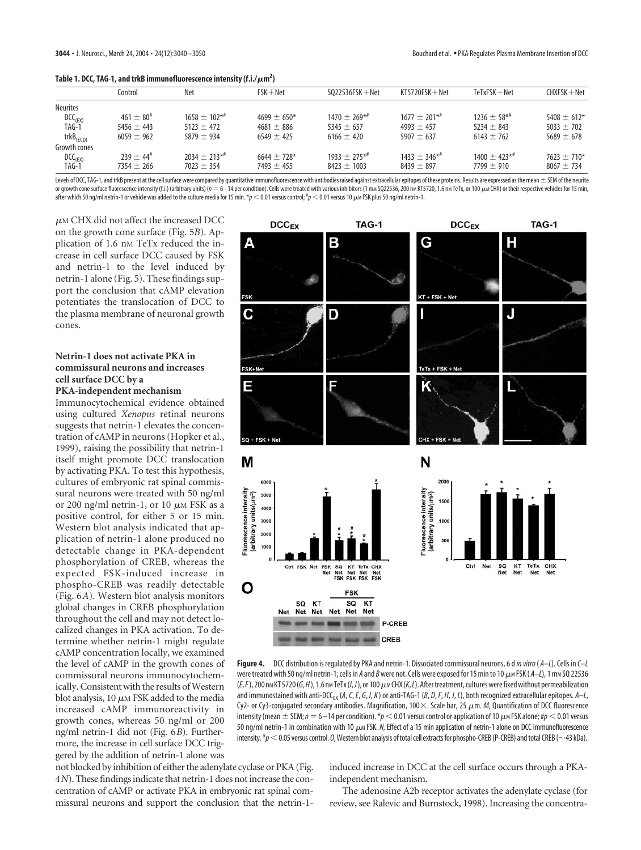|  | Table 1. DCC, TAG-1, and trkB immunofluorescence intensity (f.i./ $\mu$ m <sup>2</sup> ) |  |
|--|------------------------------------------------------------------------------------------|--|
|--|------------------------------------------------------------------------------------------|--|

|                              | Control                 | Net            | $FSK + Net$    | $SO22536FSK + Net$ | $KT5720FSK + Net$ | $TeTxFSK + Net$ | $CHXFSK + Net$ |  |  |
|------------------------------|-------------------------|----------------|----------------|--------------------|-------------------|-----------------|----------------|--|--|
| <b>Neurites</b>              |                         |                |                |                    |                   |                 |                |  |  |
| DCC <sub>(EX)</sub><br>TAG-1 | $461 + 80^{\#}$         | $1658 + 102**$ | $4699 + 650*$  | $1470 + 269**$     | $1677 + 201**$    | $1236 + 58**$   | $5408 + 612*$  |  |  |
|                              | $5456 + 443$            | $5123 + 472$   | $4681 \pm 886$ | $5345 + 657$       | $4993 + 457$      | $5234 + 843$    | $5033 + 702$   |  |  |
| $trkB$ <sub>(ECD)</sub>      | $6059 \pm 962$          | $5879 + 934$   | $6549 \pm 425$ | $6166 \pm 420$     | $5907 + 637$      | $6143 \pm 762$  | $5689 \pm 678$ |  |  |
| Growth cones                 |                         |                |                |                    |                   |                 |                |  |  |
| DCC <sub>(EX)</sub><br>TAG-1 | $739 + 44$ <sup>#</sup> | $2034 + 213**$ | $6644 + 728*$  | $1933 + 275**$     | $1433 + 346**$    | $1400 + 423**$  | $7623 + 710*$  |  |  |
|                              | $7354 \pm 266$          | $7023 \pm 354$ | $7493 \pm 455$ | $8423 \pm 1003$    | $8439 \pm 897$    | $7799 \pm 910$  | $8067 + 734$   |  |  |

Levels of DCC, TAG-1, and trkB present at the cell surface were compared by quantitative immunofluorescence with antibodies raised against extracellular epitopes of these proteins. Results are expressed as the mean ± SEM o or growth cone surface fluorescence intensity (f.i.) (arbitrary units) (n = 6–14 per condition). Cells were treated with various inhibitors (1 mм SQ22536, 200 nм KT5720, 1.6 nм TeTx, or 100 µм CHX) or their respective veh after which 50 ng/ml netrin-1 or vehicle was added to the culture media for 15 min. \* $p < 0.01$  versus control; <sup>#</sup> $p < 0.01$  versus 10 μm FSK plus 50 ng/ml netrin-1.

 $\mu$ м CHX did not affect the increased DCC on the growth cone surface (Fig. 5*B*). Application of 1.6 nm TeTx reduced the increase in cell surface DCC caused by FSK and netrin-1 to the level induced by netrin-1 alone (Fig. 5). These findings support the conclusion that cAMP elevation potentiates the translocation of DCC to the plasma membrane of neuronal growth cones.

# **Netrin-1 does not activate PKA in commissural neurons and increases cell surface DCC by a**

**PKA-independent mechanism**

Immunocytochemical evidence obtained using cultured *Xenopus* retinal neurons suggests that netrin-1 elevates the concentration of cAMP in neurons (Hopker et al., 1999), raising the possibility that netrin-1 itself might promote DCC translocation by activating PKA. To test this hypothesis, cultures of embryonic rat spinal commissural neurons were treated with 50 ng/ml or 200 ng/ml netrin-1, or 10  $\mu$ m FSK as a positive control, for either 5 or 15 min. Western blot analysis indicated that application of netrin-1 alone produced no detectable change in PKA-dependent phosphorylation of CREB, whereas the expected FSK-induced increase in phospho-CREB was readily detectable (Fig. 6*A*). Western blot analysis monitors global changes in CREB phosphorylation throughout the cell and may not detect localized changes in PKA activation. To determine whether netrin-1 might regulate cAMP concentration locally, we examined the level of cAMP in the growth cones of commissural neurons immunocytochemically.Consistent with the results of Western blot analysis, 10  $\mu$ m FSK added to the media increased cAMP immunoreactivity in growth cones, whereas 50 ng/ml or 200 ng/ml netrin-1 did not (Fig. 6*B*). Furthermore, the increase in cell surface DCC triggered by the addition of netrin-1 alone was



**Figure 4.** DCC distribution is regulated by PKA and netrin-1. Dissociated commissural neurons, 6 d*in vitro*( *A–L*). Cells in *C–L* were treated with 50 ng/ml netrin-1; cells in *A* and *B*were not. Cells were exposed for 15 min to 10-M FSK ( *A–L*), 1 mM SQ 22536 (*E*,*F*), 200 nM KT 5720 (*G*,*H* ), 1.6 nM TeTx (*I*,*J*), or 100-M CHX (*K*,*L*). After treatment, cultures were fixed without permeabilization and immunostained with anti-DCC<sub>EX</sub> (A, C, E, G, I, K) or anti-TAG-1 (B, D, F, H, J, L), both recognized extracellular epitopes. A–L, Cy2- or Cy3-conjugated secondary antibodies. Magnification, 100 $\times$ . Scale bar, 25  $\mu$ m. *M,* Quantification of DCC fluorescence intensity (mean  $\pm$  SEM;  $n$   $=$  6 –14 per condition).  $^*\!p$   $<$  0.01 versus control or application of 10  $\mu$ m FSK alone; # $p$   $<$  0.01 versus 50 ng/ml netrin-1 in combination with 10  $\mu$ m FSK. N, Effect of a 15 min application of netrin-1 alone on DCC immunofluorescence intensity.  $*p<$  0.05 versus control. *O*, Western blot analysis of total cell extracts for phospho-CREB (P-CREB) and total CREB (~43 kDa).

not blocked by inhibition of either the adenylate cyclase or PKA (Fig. 4*N*). These findings indicate that netrin-1 does not increase the concentration of cAMP or activate PKA in embryonic rat spinal commissural neurons and support the conclusion that the netrin-1induced increase in DCC at the cell surface occurs through a PKAindependent mechanism.

The adenosine A2b receptor activates the adenylate cyclase (for review, see Ralevic and Burnstock, 1998). Increasing the concentra-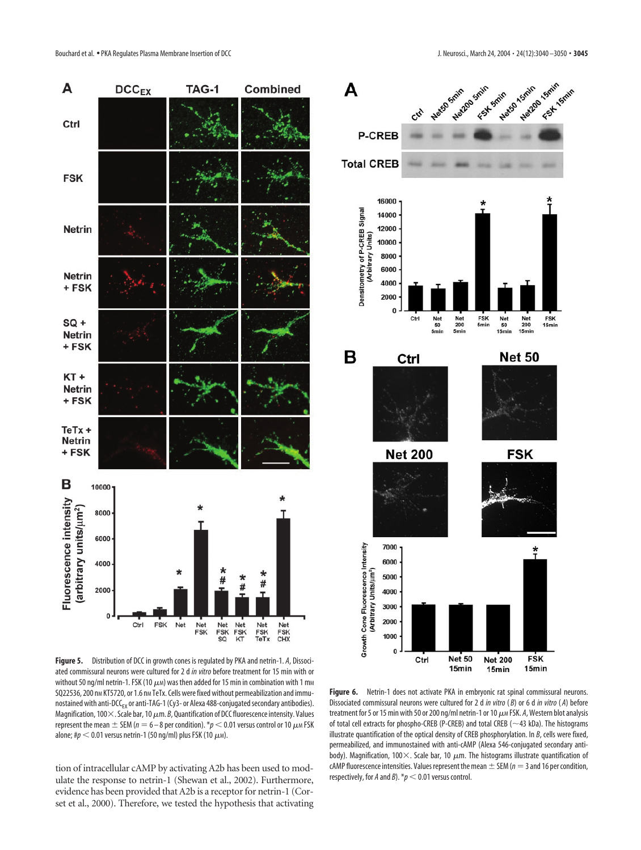

**Figure 5.** Distribution of DCC in growth cones is regulated by PKA and netrin-1. *A*, Dissociated commissural neurons were cultured for 2 d *in vitro* before treatment for 15 min with or without 50 ng/ml netrin-1. FSK (10  $\mu$ м) was then added for 15 min in combination with 1 mм SQ22536, 200 nm KT5720, or 1.6 nm TeTx. Cells were fixed without permeabilization and immunostained with anti-DCC<sub>EX</sub> or anti-TAG-1 (Cy3- or Alexa 488-conjugated secondary antibodies). Magnification, 100 $\times$ . Scale bar, 10  $\mu$ m. *B*, Quantification of DCC fluorescence intensity. Values represent the mean  $\pm$  SEM ( $n=6$  – 8 per condition).  $^*p$   $<$  0.01 versus control or 10  $\mu$ м FSK alone; # $p <$  0.01 versus netrin-1 (50 ng/ml) plus FSK (10  $\mu$ м).

tion of intracellular cAMP by activating A2b has been used to modulate the response to netrin-1 (Shewan et al., 2002). Furthermore, evidence has been provided that A2b is a receptor for netrin-1 (Corset et al., 2000). Therefore, we tested the hypothesis that activating



Figure 6. Netrin-1 does not activate PKA in embryonic rat spinal commissural neurons. Dissociated commissural neurons were cultured for 2 d *in vitro* ( *B*) or 6 d *in vitro* ( *A*) before treatment for 5 or 15 min with 50 or 200 ng/ml netrin-1 or 10-M FSK. *A*, Western blot analysis of total cell extracts for phospho-CREB (P-CREB) and total CREB ( $\sim$ 43 kDa). The histograms illustrate quantification of the optical density of CREB phosphorylation. In *B*, cells were fixed, permeabilized, and immunostained with anti-cAMP (Alexa 546-conjugated secondary antibody). Magnification, 100 $\times$ . Scale bar, 10  $\mu$ m. The histograms illustrate quantification of cAMP fluorescence intensities. Values represent the mean  $\pm$  SEM ( $n=3$  and 16 per condition, respectively, for *A* and *B*).  $* p < 0.01$  versus control.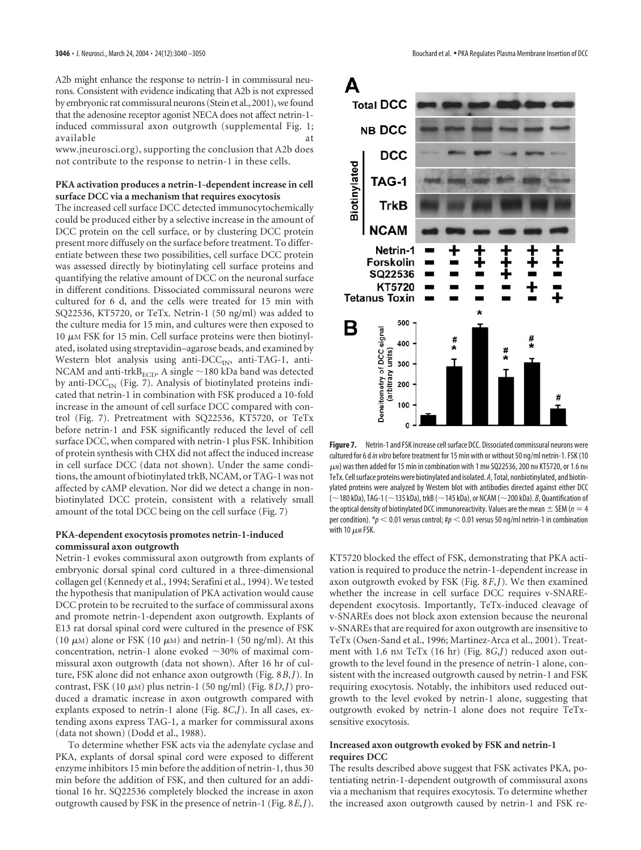A2b might enhance the response to netrin-1 in commissural neurons. Consistent with evidence indicating that A2b is not expressed by embryonic rat commissural neurons (Stein et al., 2001), we found that the adenosine receptor agonist NECA does not affect netrin-1 induced commissural axon outgrowth (supplemental Fig. 1; available at a state of  $\alpha$  at a state of  $\alpha$  at a state of  $\alpha$  at a state of  $\alpha$ 

www.jneurosci.org), supporting the conclusion that A2b does not contribute to the response to netrin-1 in these cells.

## **PKA activation produces a netrin-1-dependent increase in cell surface DCC via a mechanism that requires exocytosis**

The increased cell surface DCC detected immunocytochemically could be produced either by a selective increase in the amount of DCC protein on the cell surface, or by clustering DCC protein present more diffusely on the surface before treatment. To differentiate between these two possibilities, cell surface DCC protein was assessed directly by biotinylating cell surface proteins and quantifying the relative amount of DCC on the neuronal surface in different conditions. Dissociated commissural neurons were cultured for 6 d, and the cells were treated for 15 min with SQ22536, KT5720, or TeTx. Netrin-1 (50 ng/ml) was added to the culture media for 15 min, and cultures were then exposed to 10  $\mu$ M FSK for 15 min. Cell surface proteins were then biotinylated, isolated using streptavidin–agarose beads, and examined by Western blot analysis using anti- $\text{DCC}_{\text{IN}}$ , anti-TAG-1, anti-NCAM and anti-trk $B_{\text{ECD}}$ . A single  $\sim$ 180 kDa band was detected by anti- $DCC_{IN}$  (Fig. 7). Analysis of biotinylated proteins indicated that netrin-1 in combination with FSK produced a 10-fold increase in the amount of cell surface DCC compared with control (Fig. 7). Pretreatment with SQ22536, KT5720, or TeTx before netrin-1 and FSK significantly reduced the level of cell surface DCC, when compared with netrin-1 plus FSK. Inhibition of protein synthesis with CHX did not affect the induced increase in cell surface DCC (data not shown). Under the same conditions, the amount of biotinylated trkB, NCAM, or TAG-1 was not affected by cAMP elevation. Nor did we detect a change in nonbiotinylated DCC protein, consistent with a relatively small amount of the total DCC being on the cell surface (Fig. 7)

#### **PKA-dependent exocytosis promotes netrin-1-induced commissural axon outgrowth**

Netrin-1 evokes commissural axon outgrowth from explants of embryonic dorsal spinal cord cultured in a three-dimensional collagen gel (Kennedy et al., 1994; Serafini et al., 1994). We tested the hypothesis that manipulation of PKA activation would cause DCC protein to be recruited to the surface of commissural axons and promote netrin-1-dependent axon outgrowth. Explants of E13 rat dorsal spinal cord were cultured in the presence of FSK (10  $\mu$ m) alone or FSK (10  $\mu$ m) and netrin-1 (50 ng/ml). At this concentration, netrin-1 alone evoked  $\sim$ 30% of maximal commissural axon outgrowth (data not shown). After 16 hr of culture, FSK alone did not enhance axon outgrowth (Fig. 8*B*,*J*). In contrast, FSK (10  $\mu$ <sub>M</sub>) plus netrin-1 (50 ng/ml) (Fig. 8*D*,*J*) produced a dramatic increase in axon outgrowth compared with explants exposed to netrin-1 alone (Fig. 8*C*,*J*). In all cases, extending axons express TAG-1, a marker for commissural axons (data not shown) (Dodd et al., 1988).

To determine whether FSK acts via the adenylate cyclase and PKA, explants of dorsal spinal cord were exposed to different enzyme inhibitors 15 min before the addition of netrin-1, thus 30 min before the addition of FSK, and then cultured for an additional 16 hr. SQ22536 completely blocked the increase in axon outgrowth caused by FSK in the presence of netrin-1 (Fig. 8*E*,*J*).



**Figure 7.** Netrin-1 and FSK increase cell surface DCC. Dissociated commissural neurons were cultured for 6 d*in vitro*before treatment for 15 min with or without 50 ng/ml netrin-1. FSK (10  $\mu$ м) was then added for 15 min in combination with 1 mм SQ22536, 200 nм KT5720, or 1.6 nм TeTx. Cell surface proteins were biotinylated and isolated. *A*, Total, nonbiotinylated, and biotinylated proteins were analyzed by Western blot with antibodies directed against either DCC ( $\sim$  180 kDa), TAG-1 ( $\sim$  135 kDa), trkB ( $\sim$  145 kDa), or NCAM ( $\sim$  200 kDa). *B*, Quantification of the optical density of biotinylated DCC immunoreactivity. Values are the mean  $\pm$  SEM ( $n = 4$ ) per condition).  $p < 0.01$  versus control;  $\text{Hp} < 0.01$  versus 50 ng/ml netrin-1 in combination with 10  $\mu$ м FSK.

KT5720 blocked the effect of FSK, demonstrating that PKA activation is required to produce the netrin-1-dependent increase in axon outgrowth evoked by FSK (Fig. 8*F*,*J*). We then examined whether the increase in cell surface DCC requires v-SNAREdependent exocytosis. Importantly, TeTx-induced cleavage of v-SNAREs does not block axon extension because the neuronal v-SNAREs that are required for axon outgrowth are insensitive to TeTx (Osen-Sand et al., 1996; Martinez-Arca et al., 2001). Treatment with 1.6 nm TeTx (16 hr) (Fig. 8*G*,*J*) reduced axon outgrowth to the level found in the presence of netrin-1 alone, consistent with the increased outgrowth caused by netrin-1 and FSK requiring exocytosis. Notably, the inhibitors used reduced outgrowth to the level evoked by netrin-1 alone, suggesting that outgrowth evoked by netrin-1 alone does not require TeTxsensitive exocytosis.

#### **Increased axon outgrowth evoked by FSK and netrin-1 requires DCC**

The results described above suggest that FSK activates PKA, potentiating netrin-1-dependent outgrowth of commissural axons via a mechanism that requires exocytosis. To determine whether the increased axon outgrowth caused by netrin-1 and FSK re-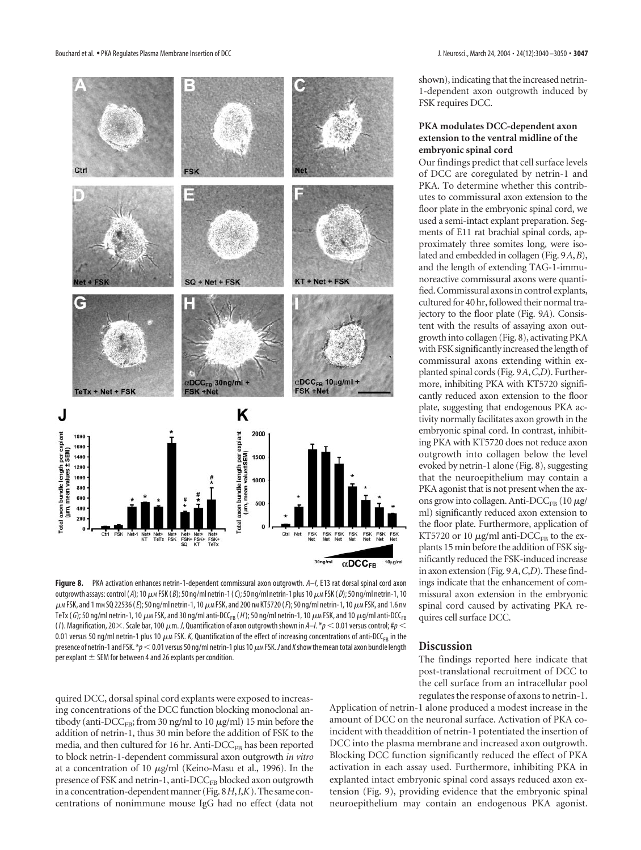

outgrowth assays: control ( A); 10 μm FSK ( *B*); 50 ng/ml netrin-1 ( *C*); 50 ng/ml netrin-1 plus 10 μm FSK ( *D*); 50 ng/ml netrin-1, 10  $\mu$ m FSK, and 1 mm SQ 22536 (*E*); 50 ng/ml netrin-1, 10  $\mu$ m FSK, and 200 nm KT5720 (*F*); 50 ng/ml netrin-1, 10  $\mu$ m FSK, and 1.6 nm TeTx (*G*); 50 ng/ml netrin-1, 10  $\mu$ м FSK, and 30 ng/ml anti-DCC<sub>FB</sub> (*H* ); 50 ng/ml netrin-1, 10  $\mu$ м FSK, and 10  $\mu$ g/ml anti-DCC<sub>FB</sub> (/). Magnification, 20 $\times$ . Scale bar, 100  $\mu$ m. J, Quantification of axon outgrowth shown in A–I. \* $p$   $<$  0.01 versus control; # $p$   $<$ 0.01 versus 50 ng/ml netrin-1 plus 10  $\mu$ m FSK. *K,* Quantification of the effect of increasing concentrations of anti-DCC<sub>FB</sub> in the presence of netrin-1 and FSK. \* $p$   $<$  0.01 versus 50 ng/ml netrin-1 plus 10  $\mu$ m FSK. Jand *K* show the mean total axon bundle length shown), indicating that the increased netrin-1-dependent axon outgrowth induced by FSK requires DCC.

# **PKA modulates DCC-dependent axon extension to the ventral midline of the embryonic spinal cord**

Our findings predict that cell surface levels of DCC are coregulated by netrin-1 and PKA. To determine whether this contributes to commissural axon extension to the floor plate in the embryonic spinal cord, we used a semi-intact explant preparation. Segments of E11 rat brachial spinal cords, approximately three somites long, were isolated and embedded in collagen (Fig. 9*A*,*B*), and the length of extending TAG-1-immunoreactive commissural axons were quantified. Commissural axons in control explants, cultured for 40 hr, followed their normal trajectory to the floor plate (Fig. 9*A*). Consistent with the results of assaying axon outgrowth into collagen (Fig. 8), activating PKA with FSK significantly increased the length of commissural axons extending within explanted spinal cords (Fig. 9*A*,*C*,*D*). Furthermore, inhibiting PKA with KT5720 significantly reduced axon extension to the floor plate, suggesting that endogenous PKA activity normally facilitates axon growth in the embryonic spinal cord. In contrast, inhibiting PKA with KT5720 does not reduce axon outgrowth into collagen below the level evoked by netrin-1 alone (Fig. 8), suggesting that the neuroepithelium may contain a PKA agonist that is not present when the axons grow into collagen. Anti- $\mathrm{DCC}_{\text{FB}}$  (10  $\mu$ g/ ml) significantly reduced axon extension to the floor plate. Furthermore, application of KT5720 or 10  $\mu$ g/ml anti-DCC<sub>FB</sub> to the explants 15 min before the addition of FSK significantly reduced the FSK-induced increase in axon extension (Fig. 9*A*,*C*,*D*). These findings indicate that the enhancement of commissural axon extension in the embryonic spinal cord caused by activating PKA requires cell surface DCC.

#### **Discussion**

The findings reported here indicate that post-translational recruitment of DCC to the cell surface from an intracellular pool regulates the response of axons to netrin-1.

quired DCC, dorsal spinal cord explants were exposed to increasing concentrations of the DCC function blocking monoclonal antibody (anti- $\mathrm{DCC}_{\mathrm{FB}}$ ; from 30 ng/ml to 10  $\mu$ g/ml) 15 min before the addition of netrin-1, thus 30 min before the addition of FSK to the media, and then cultured for 16 hr. Anti- $\text{DCC}_{\text{FB}}$  has been reported to block netrin-1-dependent commissural axon outgrowth *in vitro* at a concentration of 10  $\mu$ g/ml (Keino-Masu et al., 1996). In the presence of FSK and netrin-1, anti-DCC<sub>FB</sub> blocked axon outgrowth in a concentration-dependent manner (Fig. 8*H*,*I*,*K*). The same concentrations of nonimmune mouse IgG had no effect (data not

per explant  $\pm$  SEM for between 4 and 26 explants per condition.

Application of netrin-1 alone produced a modest increase in the amount of DCC on the neuronal surface. Activation of PKA coincident with theaddition of netrin-1 potentiated the insertion of DCC into the plasma membrane and increased axon outgrowth. Blocking DCC function significantly reduced the effect of PKA activation in each assay used. Furthermore, inhibiting PKA in explanted intact embryonic spinal cord assays reduced axon extension (Fig. 9), providing evidence that the embryonic spinal neuroepithelium may contain an endogenous PKA agonist.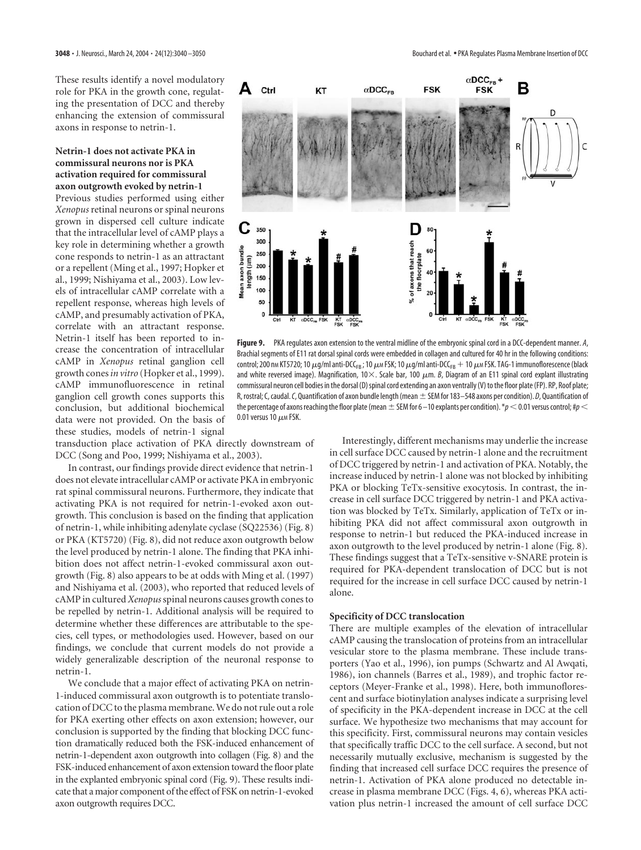These results identify a novel modulatory role for PKA in the growth cone, regulating the presentation of DCC and thereby enhancing the extension of commissural axons in response to netrin-1.

## **Netrin-1 does not activate PKA in commissural neurons nor is PKA activation required for commissural axon outgrowth evoked by netrin-1**

Previous studies performed using either *Xenopus* retinal neurons or spinal neurons grown in dispersed cell culture indicate that the intracellular level of cAMP plays a key role in determining whether a growth cone responds to netrin-1 as an attractant or a repellent (Ming et al., 1997; Hopker et al., 1999; Nishiyama et al., 2003). Low levels of intracellular cAMP correlate with a repellent response, whereas high levels of cAMP, and presumably activation of PKA, correlate with an attractant response. Netrin-1 itself has been reported to increase the concentration of intracellular cAMP in *Xenopus* retinal ganglion cell growth cones*in vitro* (Hopker et al., 1999). cAMP immunofluorescence in retinal ganglion cell growth cones supports this conclusion, but additional biochemical data were not provided. On the basis of these studies, models of netrin-1 signal

transduction place activation of PKA directly downstream of DCC (Song and Poo, 1999; Nishiyama et al., 2003).

In contrast, our findings provide direct evidence that netrin-1 does not elevate intracellular cAMP or activate PKA in embryonic rat spinal commissural neurons. Furthermore, they indicate that activating PKA is not required for netrin-1-evoked axon outgrowth. This conclusion is based on the finding that application of netrin-1, while inhibiting adenylate cyclase (SQ22536) (Fig. 8) or PKA (KT5720) (Fig. 8), did not reduce axon outgrowth below the level produced by netrin-1 alone. The finding that PKA inhibition does not affect netrin-1-evoked commissural axon outgrowth (Fig. 8) also appears to be at odds with Ming et al. (1997) and Nishiyama et al. (2003), who reported that reduced levels of cAMP in cultured *Xenopus*spinal neurons causes growth cones to be repelled by netrin-1. Additional analysis will be required to determine whether these differences are attributable to the species, cell types, or methodologies used. However, based on our findings, we conclude that current models do not provide a widely generalizable description of the neuronal response to netrin-1.

We conclude that a major effect of activating PKA on netrin-1-induced commissural axon outgrowth is to potentiate translocation of DCC to the plasma membrane. We do not rule out a role for PKA exerting other effects on axon extension; however, our conclusion is supported by the finding that blocking DCC function dramatically reduced both the FSK-induced enhancement of netrin-1-dependent axon outgrowth into collagen (Fig. 8) and the FSK-induced enhancement of axon extension toward the floor plate in the explanted embryonic spinal cord (Fig. 9). These results indicate that a major component of the effect of FSK on netrin-1-evoked axon outgrowth requires DCC.



**Figure 9.** PKA regulates axon extension to the ventral midline of the embryonic spinal cord in a DCC-dependent manner. *A*, Brachial segments of E11 rat dorsal spinal cords were embedded in collagen and cultured for 40 hr in the following conditions: control; 200 nm KT5720; 10  $\mu$ g/ml anti-DCC<sub>FB</sub> ; 10  $\mu$ m FSK; 10  $\mu$ g/ml anti-DCC<sub>FB</sub>  $+$  10  $\mu$ m FSK. TAG-1 immunoflorescence (black and white reversed image). Magnification, 10 $\times$ . Scale bar, 100  $\mu$ m. *B*, Diagram of an E11 spinal cord explant illustrating commissural neuron cell bodies in the dorsal (D) spinal cord extending an axon ventrally (V) to the floor plate (FP). RP, Roof plate; R, rostral; C, caudal. C, Quantification of axon bundle length (mean  $\pm$  SEM for 183–548 axons per condition). *D*, Quantification of the percentage of axons reaching the floor plate (mean  $\pm$  SEM for 6 –10 explants per condition).  $*p$  < 0.01 versus control;  $tp$  < 0.01 versus 10  $\mu$ м FSK.

Interestingly, different mechanisms may underlie the increase in cell surface DCC caused by netrin-1 alone and the recruitment of DCC triggered by netrin-1 and activation of PKA. Notably, the increase induced by netrin-1 alone was not blocked by inhibiting PKA or blocking TeTx-sensitive exocytosis. In contrast, the increase in cell surface DCC triggered by netrin-1 and PKA activation was blocked by TeTx. Similarly, application of TeTx or inhibiting PKA did not affect commissural axon outgrowth in response to netrin-1 but reduced the PKA-induced increase in axon outgrowth to the level produced by netrin-1 alone (Fig. 8). These findings suggest that a TeTx-sensitive v-SNARE protein is required for PKA-dependent translocation of DCC but is not required for the increase in cell surface DCC caused by netrin-1 alone.

#### **Specificity of DCC translocation**

There are multiple examples of the elevation of intracellular cAMP causing the translocation of proteins from an intracellular vesicular store to the plasma membrane. These include transporters (Yao et al., 1996), ion pumps (Schwartz and Al Awqati, 1986), ion channels (Barres et al., 1989), and trophic factor receptors (Meyer-Franke et al., 1998). Here, both immunoflorescent and surface biotinylation analyses indicate a surprising level of specificity in the PKA-dependent increase in DCC at the cell surface. We hypothesize two mechanisms that may account for this specificity. First, commissural neurons may contain vesicles that specifically traffic DCC to the cell surface. A second, but not necessarily mutually exclusive, mechanism is suggested by the finding that increased cell surface DCC requires the presence of netrin-1. Activation of PKA alone produced no detectable increase in plasma membrane DCC (Figs. 4, 6), whereas PKA activation plus netrin-1 increased the amount of cell surface DCC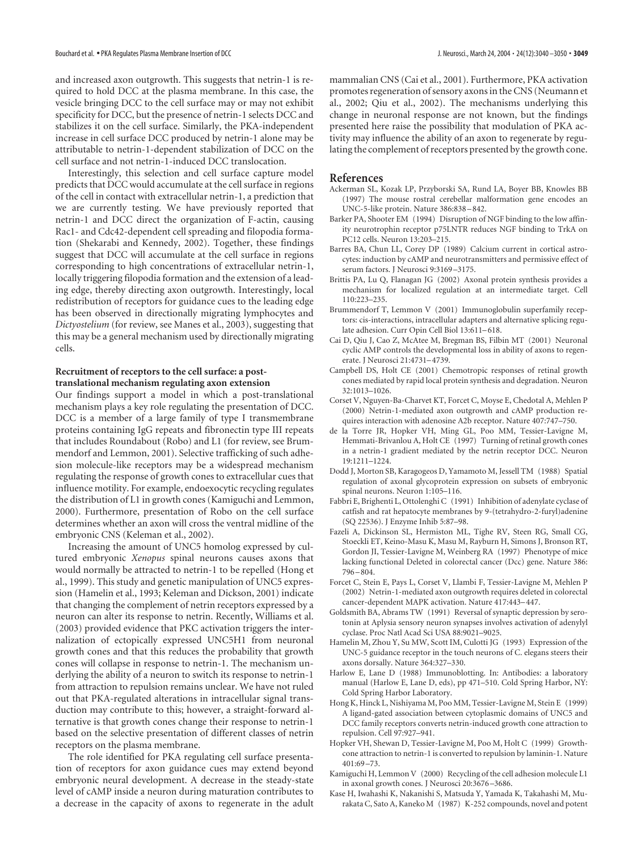and increased axon outgrowth. This suggests that netrin-1 is required to hold DCC at the plasma membrane. In this case, the vesicle bringing DCC to the cell surface may or may not exhibit specificity for DCC, but the presence of netrin-1 selects DCC and stabilizes it on the cell surface. Similarly, the PKA-independent increase in cell surface DCC produced by netrin-1 alone may be attributable to netrin-1-dependent stabilization of DCC on the cell surface and not netrin-1-induced DCC translocation.

Interestingly, this selection and cell surface capture model predicts that DCC would accumulate at the cell surface in regions of the cell in contact with extracellular netrin-1, a prediction that we are currently testing. We have previously reported that netrin-1 and DCC direct the organization of F-actin, causing Rac1- and Cdc42-dependent cell spreading and filopodia formation (Shekarabi and Kennedy, 2002). Together, these findings suggest that DCC will accumulate at the cell surface in regions corresponding to high concentrations of extracellular netrin-1, locally triggering filopodia formation and the extension of a leading edge, thereby directing axon outgrowth. Interestingly, local redistribution of receptors for guidance cues to the leading edge has been observed in directionally migrating lymphocytes and *Dictyostelium* (for review, see Manes et al., 2003), suggesting that this may be a general mechanism used by directionally migrating cells.

#### **Recruitment of receptors to the cell surface: a posttranslational mechanism regulating axon extension**

Our findings support a model in which a post-translational mechanism plays a key role regulating the presentation of DCC. DCC is a member of a large family of type I transmembrane proteins containing IgG repeats and fibronectin type III repeats that includes Roundabout (Robo) and L1 (for review, see Brummendorf and Lemmon, 2001). Selective trafficking of such adhesion molecule-like receptors may be a widespread mechanism regulating the response of growth cones to extracellular cues that influence motility. For example, endoexocytic recycling regulates the distribution of L1 in growth cones (Kamiguchi and Lemmon, 2000). Furthermore, presentation of Robo on the cell surface determines whether an axon will cross the ventral midline of the embryonic CNS (Keleman et al., 2002).

Increasing the amount of UNC5 homolog expressed by cultured embryonic *Xenopus* spinal neurons causes axons that would normally be attracted to netrin-1 to be repelled (Hong et al., 1999). This study and genetic manipulation of UNC5 expression (Hamelin et al., 1993; Keleman and Dickson, 2001) indicate that changing the complement of netrin receptors expressed by a neuron can alter its response to netrin. Recently, Williams et al. (2003) provided evidence that PKC activation triggers the internalization of ectopically expressed UNC5H1 from neuronal growth cones and that this reduces the probability that growth cones will collapse in response to netrin-1. The mechanism underlying the ability of a neuron to switch its response to netrin-1 from attraction to repulsion remains unclear. We have not ruled out that PKA-regulated alterations in intracellular signal transduction may contribute to this; however, a straight-forward alternative is that growth cones change their response to netrin-1 based on the selective presentation of different classes of netrin receptors on the plasma membrane.

The role identified for PKA regulating cell surface presentation of receptors for axon guidance cues may extend beyond embryonic neural development. A decrease in the steady-state level of cAMP inside a neuron during maturation contributes to a decrease in the capacity of axons to regenerate in the adult

mammalian CNS (Cai et al., 2001). Furthermore, PKA activation promotes regeneration of sensory axons in the CNS (Neumann et al., 2002; Qiu et al., 2002). The mechanisms underlying this change in neuronal response are not known, but the findings presented here raise the possibility that modulation of PKA activity may influence the ability of an axon to regenerate by regulating the complement of receptors presented by the growth cone.

#### **References**

- Ackerman SL, Kozak LP, Przyborski SA, Rund LA, Boyer BB, Knowles BB (1997) The mouse rostral cerebellar malformation gene encodes an UNC-5-like protein. Nature 386:838–842.
- Barker PA, Shooter EM (1994) Disruption of NGF binding to the low affinity neurotrophin receptor p75LNTR reduces NGF binding to TrkA on PC12 cells. Neuron 13:203–215.
- Barres BA, Chun LL, Corey DP (1989) Calcium current in cortical astrocytes: induction by cAMP and neurotransmitters and permissive effect of serum factors. J Neurosci 9:3169–3175.
- Brittis PA, Lu Q, Flanagan JG (2002) Axonal protein synthesis provides a mechanism for localized regulation at an intermediate target. Cell 110:223–235.
- Brummendorf T, Lemmon V (2001) Immunoglobulin superfamily receptors: cis-interactions, intracellular adapters and alternative splicing regulate adhesion. Curr Opin Cell Biol 13:611–618.
- Cai D, Qiu J, Cao Z, McAtee M, Bregman BS, Filbin MT (2001) Neuronal cyclic AMP controls the developmental loss in ability of axons to regenerate. J Neurosci 21:4731–4739.
- Campbell DS, Holt CE (2001) Chemotropic responses of retinal growth cones mediated by rapid local protein synthesis and degradation. Neuron 32:1013–1026.
- Corset V, Nguyen-Ba-Charvet KT, Forcet C, Moyse E, Chedotal A, Mehlen P (2000) Netrin-1-mediated axon outgrowth and cAMP production requires interaction with adenosine A2b receptor. Nature 407:747–750.
- de la Torre JR, Hopker VH, Ming GL, Poo MM, Tessier-Lavigne M, Hemmati-Brivanlou A, Holt CE (1997) Turning of retinal growth cones in a netrin-1 gradient mediated by the netrin receptor DCC. Neuron 19:1211–1224.
- Dodd J, Morton SB, Karagogeos D, Yamamoto M, Jessell TM (1988) Spatial regulation of axonal glycoprotein expression on subsets of embryonic spinal neurons. Neuron 1:105–116.
- Fabbri E, Brighenti L, Ottolenghi C (1991) Inhibition of adenylate cyclase of catfish and rat hepatocyte membranes by 9-(tetrahydro-2-furyl)adenine (SQ 22536). J Enzyme Inhib 5:87–98.
- Fazeli A, Dickinson SL, Hermiston ML, Tighe RV, Steen RG, Small CG, Stoeckli ET, Keino-Masu K, Masu M, Rayburn H, Simons J, Bronson RT, Gordon JI, Tessier-Lavigne M, Weinberg RA (1997) Phenotype of mice lacking functional Deleted in colorectal cancer (Dcc) gene. Nature 386: 796–804.
- Forcet C, Stein E, Pays L, Corset V, Llambi F, Tessier-Lavigne M, Mehlen P (2002) Netrin-1-mediated axon outgrowth requires deleted in colorectal cancer-dependent MAPK activation. Nature 417:443–447.
- Goldsmith BA, Abrams TW (1991) Reversal of synaptic depression by serotonin at Aplysia sensory neuron synapses involves activation of adenylyl cyclase. Proc Natl Acad Sci USA 88:9021–9025.
- Hamelin M, Zhou Y, Su MW, Scott IM, Culotti JG (1993) Expression of the UNC-5 guidance receptor in the touch neurons of C. elegans steers their axons dorsally. Nature 364:327–330.
- Harlow E, Lane D (1988) Immunoblotting. In: Antibodies: a laboratory manual (Harlow E, Lane D, eds), pp 471–510. Cold Spring Harbor, NY: Cold Spring Harbor Laboratory.
- Hong K, Hinck L, Nishiyama M, Poo MM, Tessier-Lavigne M, Stein E (1999) A ligand-gated association between cytoplasmic domains of UNC5 and DCC family receptors converts netrin-induced growth cone attraction to repulsion. Cell 97:927–941.
- Hopker VH, Shewan D, Tessier-Lavigne M, Poo M, Holt C (1999) Growthcone attraction to netrin-1 is converted to repulsion by laminin-1. Nature 401:69–73.
- Kamiguchi H, Lemmon V (2000) Recycling of the cell adhesion molecule L1 in axonal growth cones. J Neurosci 20:3676–3686.
- Kase H, Iwahashi K, Nakanishi S, Matsuda Y, Yamada K, Takahashi M, Murakata C, Sato A, Kaneko M (1987) K-252 compounds, novel and potent